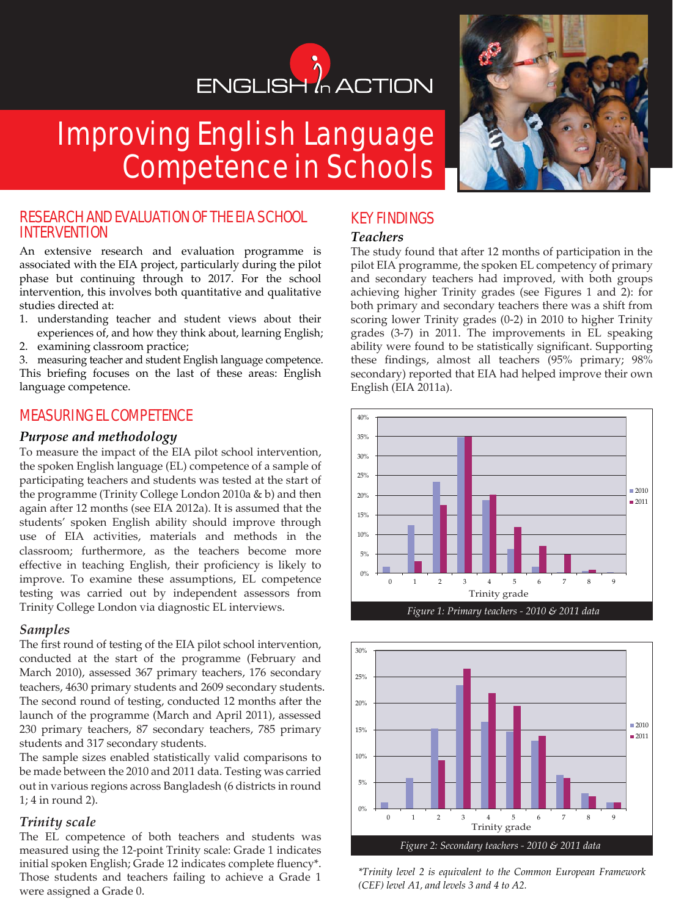# ENGLISH<sup>'</sup> ACTION

# Improving English Language Competence in Schools



An extensive research and evaluation programme is associated with the EIA project, particularly during the pilot phase but continuing through to 2017. For the school intervention, this involves both quantitative and qualitative studies directed at:

- 1. understanding teacher and student views about their experiences of, and how they think about, learning English;
- 2. examining classroom practice;

3. measuring teacher and student English language competence. This briefing focuses on the last of these areas: English language competence.

# MEASURING EL COMPETENCE

#### *Purpose and methodology*

To measure the impact of the EIA pilot school intervention, the spoken English language (EL) competence of a sample of participating teachers and students was tested at the start of the programme (Trinity College London 2010a & b) and then again after 12 months (see EIA 2012a). It is assumed that the students' spoken English ability should improve through use of EIA activities, materials and methods in the classroom; furthermore, as the teachers become more effective in teaching English, their proficiency is likely to improve. To examine these assumptions, EL competence testing was carried out by independent assessors from Trinity College London via diagnostic EL interviews.

#### *Samples*

The first round of testing of the EIA pilot school intervention, conducted at the start of the programme (February and March 2010), assessed 367 primary teachers, 176 secondary teachers, 4630 primary students and 2609 secondary students. The second round of testing, conducted 12 months after the launch of the programme (March and April 2011), assessed 230 primary teachers, 87 secondary teachers, 785 primary students and 317 secondary students.

The sample sizes enabled statistically valid comparisons to be made between the 2010 and 2011 data. Testing was carried out in various regions across Bangladesh (6 districts in round 1; 4 in round 2).

#### *Trinity scale*

The EL competence of both teachers and students was measured using the 12-point Trinity scale: Grade 1 indicates initial spoken English; Grade 12 indicates complete fluency\*. Those students and teachers failing to achieve a Grade 1 were assigned a Grade 0.



# KEY FINDINGS

### *Teachers*

The study found that after 12 months of participation in the pilot EIA programme, the spoken EL competency of primary and secondary teachers had improved, with both groups achieving higher Trinity grades (see Figures 1 and 2): for both primary and secondary teachers there was a shift from scoring lower Trinity grades (0-2) in 2010 to higher Trinity grades (3-7) in 2011. The improvements in EL speaking ability were found to be statistically significant. Supporting these findings, almost all teachers (95% primary; 98% secondary) reported that EIA had helped improve their own English (EIA 2011a).





*\*Trinity level 2 is equivalent to the Common European Framework (CEF) level A1, and levels 3 and 4 to A2.*